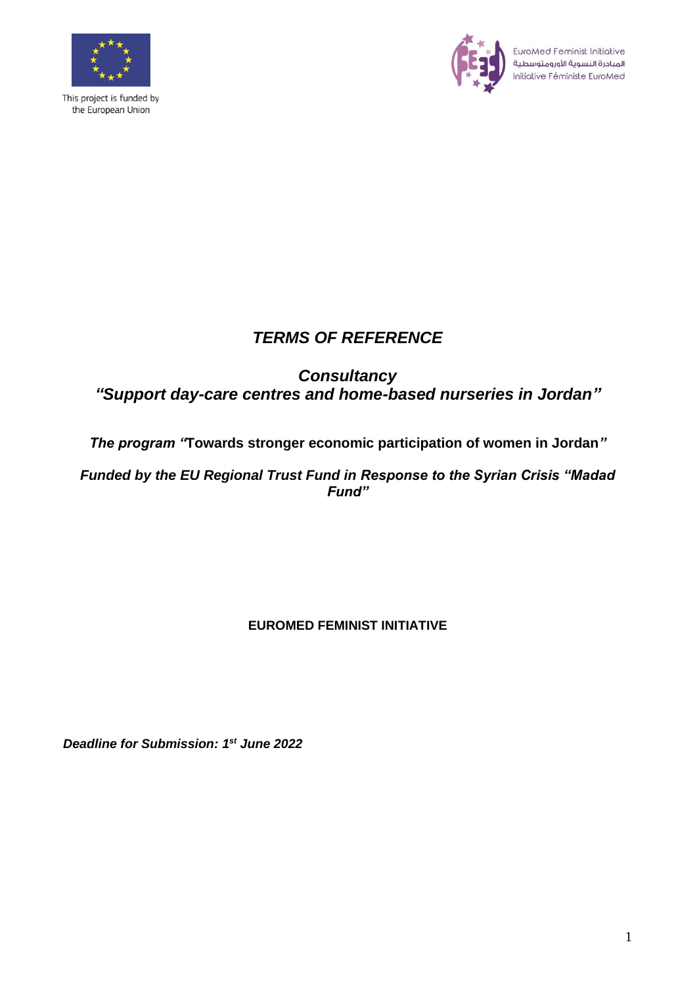

This project is funded by the European Union



EuroMed Feminist Initiative<br>المبادرة النسوية الأورومتوسطية<br>Initiative Féministe EuroMed

# *TERMS OF REFERENCE*

# *Consultancy "Support day-care centres and home-based nurseries in Jordan"*

## *The program "***Towards stronger economic participation of women in Jordan***"*

*Funded by the EU Regional Trust Fund in Response to the Syrian Crisis "Madad Fund"*

## **EUROMED FEMINIST INITIATIVE**

*Deadline for Submission: 1 st June 2022*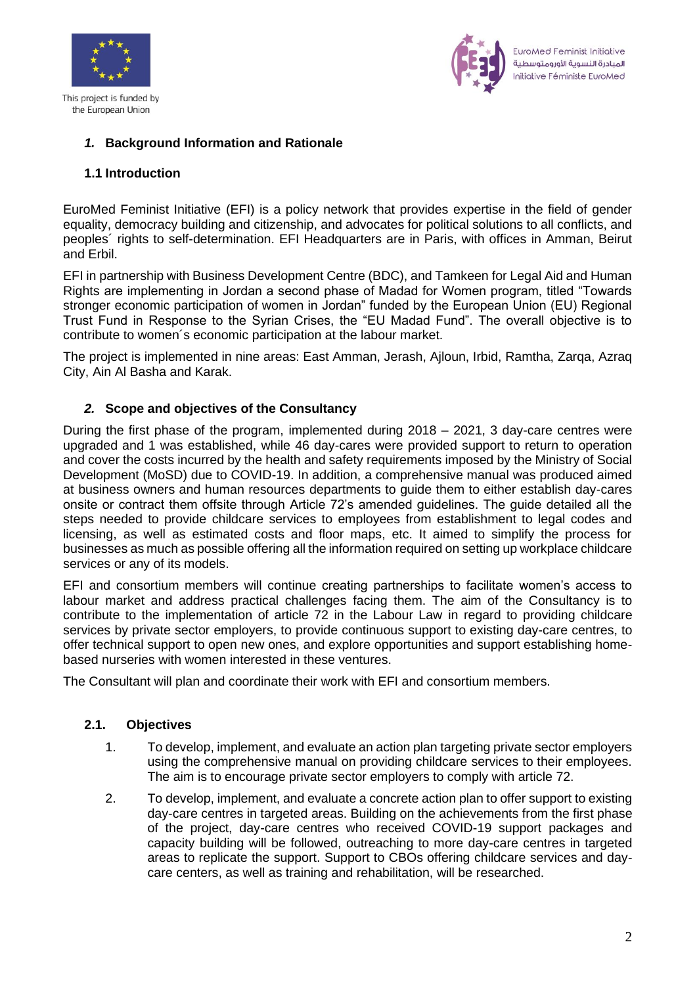



## *1.* **Background Information and Rationale**

### **1.1 Introduction**

EuroMed Feminist Initiative (EFI) is a policy network that provides expertise in the field of gender equality, democracy building and citizenship, and advocates for political solutions to all conflicts, and peoples´ rights to self-determination. EFI Headquarters are in Paris, with offices in Amman, Beirut and Erbil.

EFI in partnership with Business Development Centre (BDC), and Tamkeen for Legal Aid and Human Rights are implementing in Jordan a second phase of Madad for Women program, titled "Towards stronger economic participation of women in Jordan" funded by the European Union (EU) Regional Trust Fund in Response to the Syrian Crises, the "EU Madad Fund". The overall objective is to contribute to women´s economic participation at the labour market.

The project is implemented in nine areas: East Amman, Jerash, Ajloun, Irbid, Ramtha, Zarqa, Azraq City, Ain Al Basha and Karak.

### *2.* **Scope and objectives of the Consultancy**

During the first phase of the program, implemented during 2018 – 2021, 3 day-care centres were upgraded and 1 was established, while 46 day-cares were provided support to return to operation and cover the costs incurred by the health and safety requirements imposed by the Ministry of Social Development (MoSD) due to COVID-19. In addition, a comprehensive manual was produced aimed at business owners and human resources departments to guide them to either establish day-cares onsite or contract them offsite through Article 72's amended guidelines. The guide detailed all the steps needed to provide childcare services to employees from establishment to legal codes and licensing, as well as estimated costs and floor maps, etc. It aimed to simplify the process for businesses as much as possible offering all the information required on setting up workplace childcare services or any of its models.

EFI and consortium members will continue creating partnerships to facilitate women's access to labour market and address practical challenges facing them. The aim of the Consultancy is to contribute to the implementation of article 72 in the Labour Law in regard to providing childcare services by private sector employers, to provide continuous support to existing day-care centres, to offer technical support to open new ones, and explore opportunities and support establishing homebased nurseries with women interested in these ventures.

The Consultant will plan and coordinate their work with EFI and consortium members.

#### **2.1. Objectives**

- 1. To develop, implement, and evaluate an action plan targeting private sector employers using the comprehensive manual on providing childcare services to their employees. The aim is to encourage private sector employers to comply with article 72.
- 2. To develop, implement, and evaluate a concrete action plan to offer support to existing day-care centres in targeted areas. Building on the achievements from the first phase of the project, day-care centres who received COVID-19 support packages and capacity building will be followed, outreaching to more day-care centres in targeted areas to replicate the support. Support to CBOs offering childcare services and daycare centers, as well as training and rehabilitation, will be researched.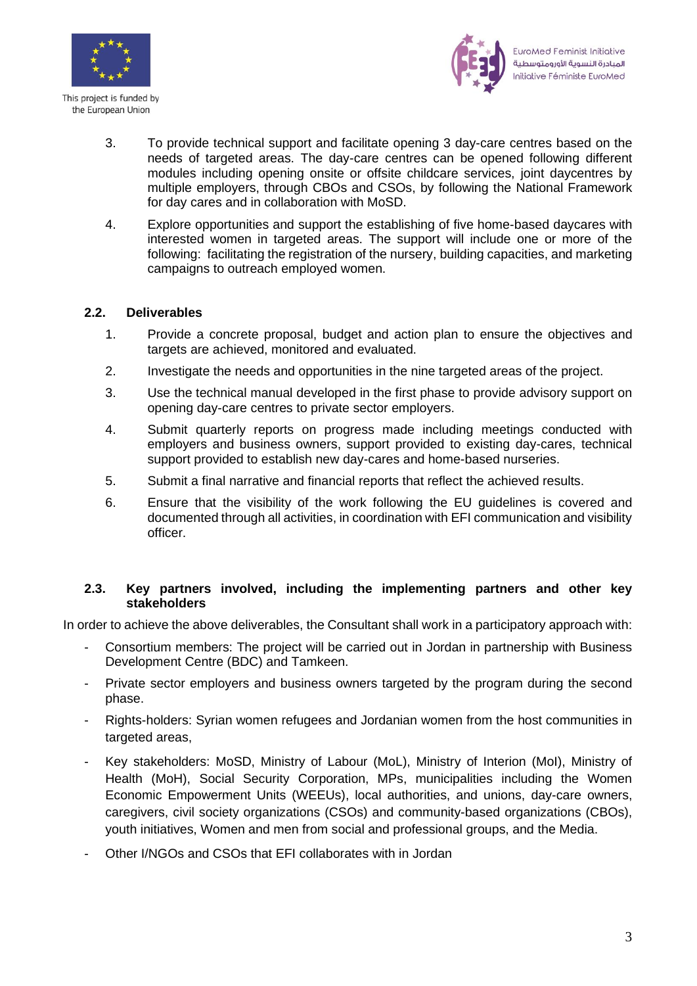



- 3. To provide technical support and facilitate opening 3 day-care centres based on the needs of targeted areas. The day-care centres can be opened following different modules including opening onsite or offsite childcare services, joint daycentres by multiple employers, through CBOs and CSOs, by following the National Framework for day cares and in collaboration with MoSD.
- 4. Explore opportunities and support the establishing of five home-based daycares with interested women in targeted areas. The support will include one or more of the following: facilitating the registration of the nursery, building capacities, and marketing campaigns to outreach employed women.

### **2.2. Deliverables**

- 1. Provide a concrete proposal, budget and action plan to ensure the objectives and targets are achieved, monitored and evaluated.
- 2. Investigate the needs and opportunities in the nine targeted areas of the project.
- 3. Use the technical manual developed in the first phase to provide advisory support on opening day-care centres to private sector employers.
- 4. Submit quarterly reports on progress made including meetings conducted with employers and business owners, support provided to existing day-cares, technical support provided to establish new day-cares and home-based nurseries.
- 5. Submit a final narrative and financial reports that reflect the achieved results.
- 6. Ensure that the visibility of the work following the EU guidelines is covered and documented through all activities, in coordination with EFI communication and visibility officer.

#### **2.3. Key partners involved, including the implementing partners and other key stakeholders**

In order to achieve the above deliverables, the Consultant shall work in a participatory approach with:

- Consortium members: The project will be carried out in Jordan in partnership with Business Development Centre (BDC) and Tamkeen.
- Private sector employers and business owners targeted by the program during the second phase.
- Rights-holders: Syrian women refugees and Jordanian women from the host communities in targeted areas,
- Key stakeholders: MoSD, Ministry of Labour (MoL), Ministry of Interion (MoI), Ministry of Health (MoH), Social Security Corporation, MPs, municipalities including the Women Economic Empowerment Units (WEEUs), local authorities, and unions, day-care owners, caregivers, civil society organizations (CSOs) and community-based organizations (CBOs), youth initiatives, Women and men from social and professional groups, and the Media.
- Other I/NGOs and CSOs that EFI collaborates with in Jordan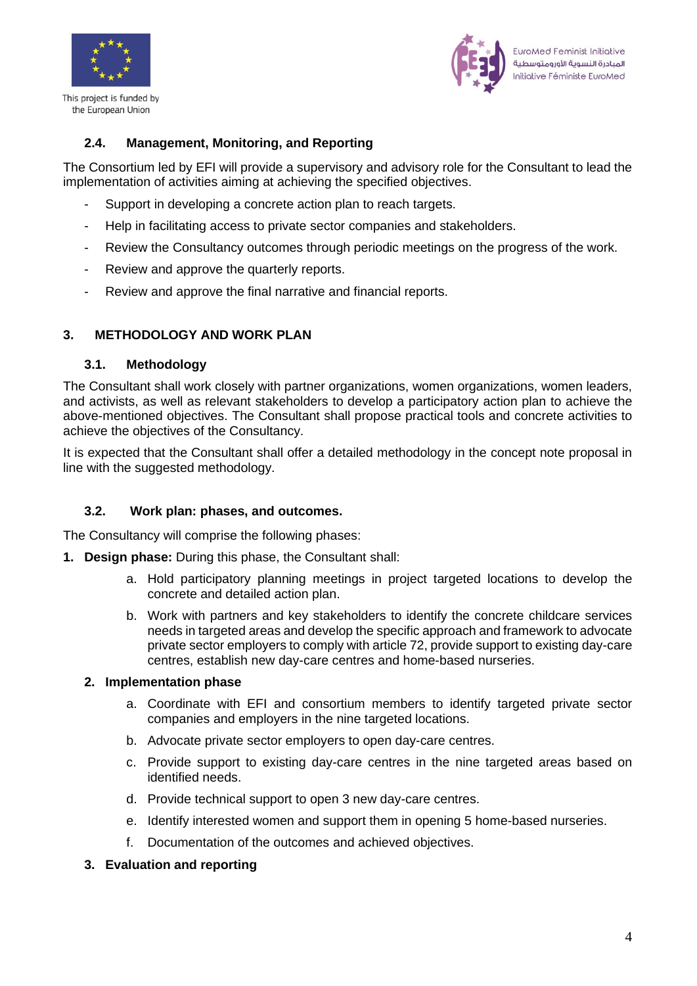

This project is funded by the European Union



## **2.4. Management, Monitoring, and Reporting**

The Consortium led by EFI will provide a supervisory and advisory role for the Consultant to lead the implementation of activities aiming at achieving the specified objectives.

- Support in developing a concrete action plan to reach targets.
- Help in facilitating access to private sector companies and stakeholders.
- Review the Consultancy outcomes through periodic meetings on the progress of the work.
- Review and approve the quarterly reports.
- Review and approve the final narrative and financial reports.

## **3. METHODOLOGY AND WORK PLAN**

#### **3.1. Methodology**

The Consultant shall work closely with partner organizations, women organizations, women leaders, and activists, as well as relevant stakeholders to develop a participatory action plan to achieve the above-mentioned objectives. The Consultant shall propose practical tools and concrete activities to achieve the objectives of the Consultancy.

It is expected that the Consultant shall offer a detailed methodology in the concept note proposal in line with the suggested methodology.

#### **3.2. Work plan: phases, and outcomes.**

The Consultancy will comprise the following phases:

- **1. Design phase:** During this phase, the Consultant shall:
	- a. Hold participatory planning meetings in project targeted locations to develop the concrete and detailed action plan.
	- b. Work with partners and key stakeholders to identify the concrete childcare services needs in targeted areas and develop the specific approach and framework to advocate private sector employers to comply with article 72, provide support to existing day-care centres, establish new day-care centres and home-based nurseries.

#### **2. Implementation phase**

- a. Coordinate with EFI and consortium members to identify targeted private sector companies and employers in the nine targeted locations.
- b. Advocate private sector employers to open day-care centres.
- c. Provide support to existing day-care centres in the nine targeted areas based on identified needs.
- d. Provide technical support to open 3 new day-care centres.
- e. Identify interested women and support them in opening 5 home-based nurseries.
- f. Documentation of the outcomes and achieved objectives.

#### **3. Evaluation and reporting**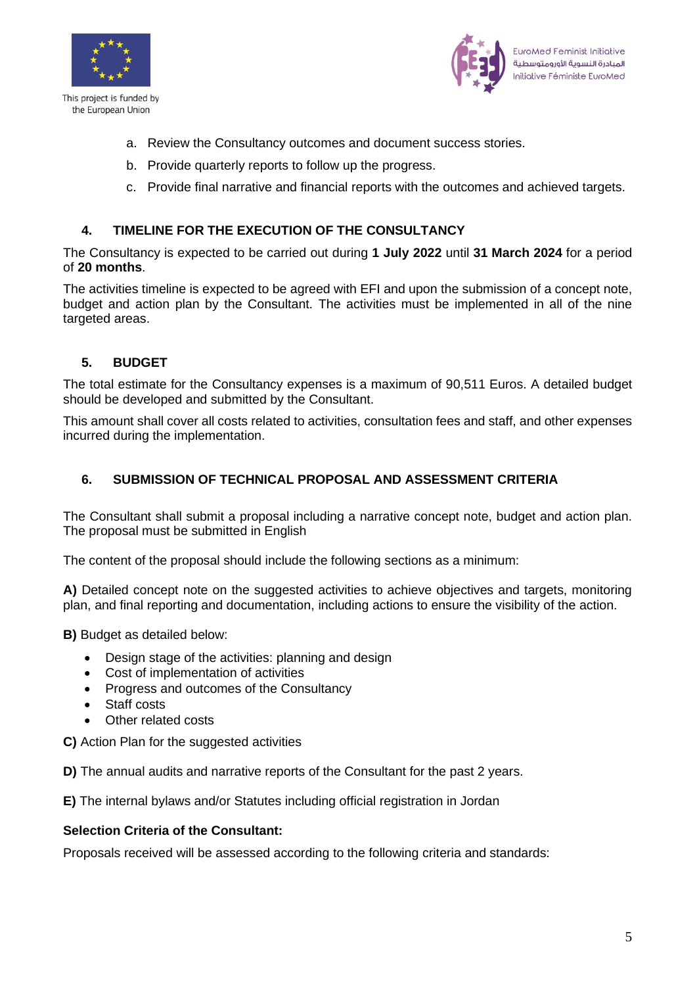



- a. Review the Consultancy outcomes and document success stories.
- b. Provide quarterly reports to follow up the progress.
- c. Provide final narrative and financial reports with the outcomes and achieved targets.

## **4. TIMELINE FOR THE EXECUTION OF THE CONSULTANCY**

The Consultancy is expected to be carried out during **1 July 2022** until **31 March 2024** for a period of **20 months**.

The activities timeline is expected to be agreed with EFI and upon the submission of a concept note, budget and action plan by the Consultant. The activities must be implemented in all of the nine targeted areas.

## **5. BUDGET**

The total estimate for the Consultancy expenses is a maximum of 90,511 Euros. A detailed budget should be developed and submitted by the Consultant.

This amount shall cover all costs related to activities, consultation fees and staff, and other expenses incurred during the implementation.

## **6. SUBMISSION OF TECHNICAL PROPOSAL AND ASSESSMENT CRITERIA**

The Consultant shall submit a proposal including a narrative concept note, budget and action plan. The proposal must be submitted in English

The content of the proposal should include the following sections as a minimum:

A) Detailed concept note on the suggested activities to achieve objectives and targets, monitoring plan, and final reporting and documentation, including actions to ensure the visibility of the action.

**B)** Budget as detailed below:

- Design stage of the activities: planning and design
- Cost of implementation of activities
- Progress and outcomes of the Consultancy
- Staff costs
- Other related costs

**C)** Action Plan for the suggested activities

**D)** The annual audits and narrative reports of the Consultant for the past 2 years.

**E)** The internal bylaws and/or Statutes including official registration in Jordan

#### **Selection Criteria of the Consultant:**

Proposals received will be assessed according to the following criteria and standards: